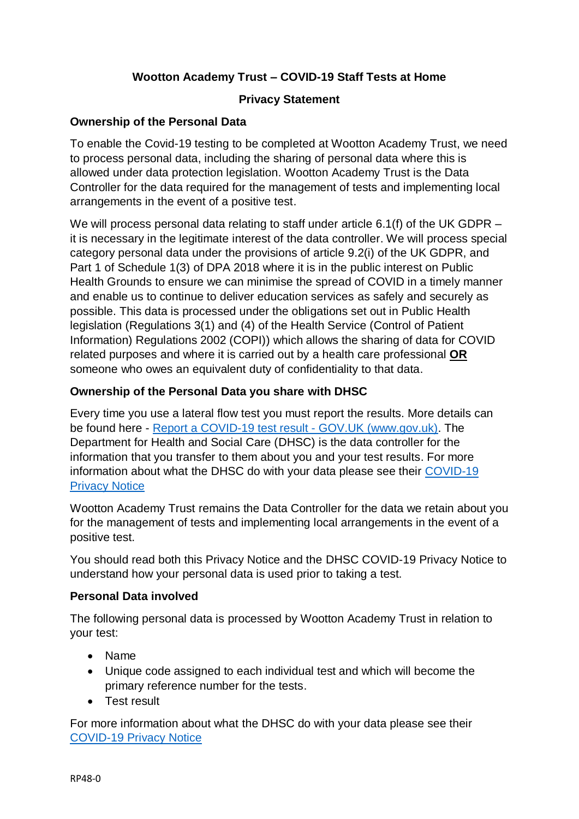# **Wootton Academy Trust – COVID-19 Staff Tests at Home**

# **Privacy Statement**

## **Ownership of the Personal Data**

To enable the Covid-19 testing to be completed at Wootton Academy Trust, we need to process personal data, including the sharing of personal data where this is allowed under data protection legislation. Wootton Academy Trust is the Data Controller for the data required for the management of tests and implementing local arrangements in the event of a positive test.

We will process personal data relating to staff under article 6.1(f) of the UK GDPR – it is necessary in the legitimate interest of the data controller. We will process special category personal data under the provisions of article 9.2(i) of the UK GDPR, and Part 1 of Schedule 1(3) of DPA 2018 where it is in the public interest on Public Health Grounds to ensure we can minimise the spread of COVID in a timely manner and enable us to continue to deliver education services as safely and securely as possible. This data is processed under the obligations set out in Public Health legislation (Regulations 3(1) and (4) of the Health Service (Control of Patient Information) Regulations 2002 (COPI)) which allows the sharing of data for COVID related purposes and where it is carried out by a health care professional **OR** someone who owes an equivalent duty of confidentiality to that data.

## **Ownership of the Personal Data you share with DHSC**

Every time you use a lateral flow test you must report the results. More details can be found here - Report a COVID-19 test result - [GOV.UK \(www.gov.uk\).](https://www.gov.uk/report-covid19-result) The Department for Health and Social Care (DHSC) is the data controller for the information that you transfer to them about you and your test results. For more information about what the DHSC do with your data please see their [COVID-19](https://www.gov.uk/government/publications/coronavirus-covid-19-testing-privacy-information)  [Privacy Notice](https://www.gov.uk/government/publications/coronavirus-covid-19-testing-privacy-information)

Wootton Academy Trust remains the Data Controller for the data we retain about you for the management of tests and implementing local arrangements in the event of a positive test.

You should read both this Privacy Notice and the DHSC COVID-19 Privacy Notice to understand how your personal data is used prior to taking a test.

#### **Personal Data involved**

The following personal data is processed by Wootton Academy Trust in relation to your test:

- Name
- Unique code assigned to each individual test and which will become the primary reference number for the tests.
- Test result

For more information about what the DHSC do with your data please see their [COVID-19 Privacy Notice](https://www.gov.uk/government/publications/coronavirus-covid-19-testing-privacy-information)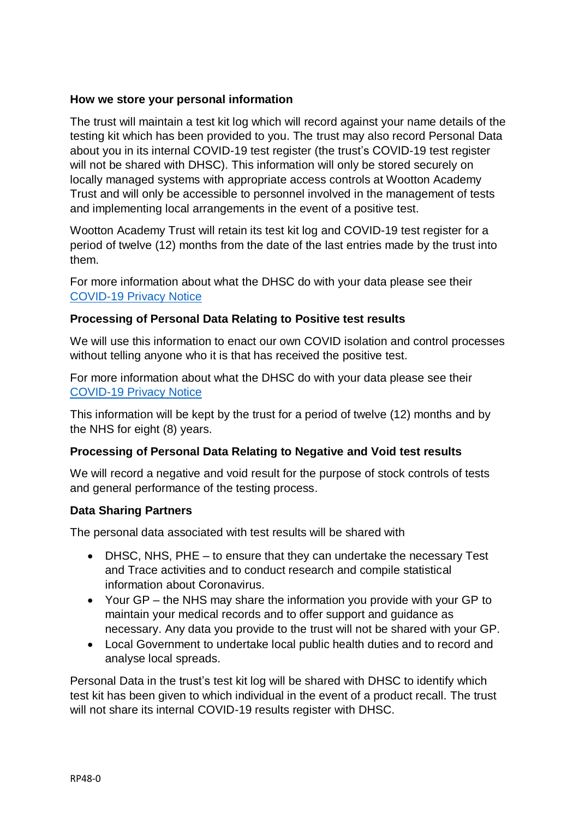### **How we store your personal information**

The trust will maintain a test kit log which will record against your name details of the testing kit which has been provided to you. The trust may also record Personal Data about you in its internal COVID-19 test register (the trust's COVID-19 test register will not be shared with DHSC). This information will only be stored securely on locally managed systems with appropriate access controls at Wootton Academy Trust and will only be accessible to personnel involved in the management of tests and implementing local arrangements in the event of a positive test.

Wootton Academy Trust will retain its test kit log and COVID-19 test register for a period of twelve (12) months from the date of the last entries made by the trust into them.

For more information about what the DHSC do with your data please see their [COVID-19 Privacy Notice](https://www.gov.uk/government/publications/coronavirus-covid-19-testing-privacy-information)

## **Processing of Personal Data Relating to Positive test results**

We will use this information to enact our own COVID isolation and control processes without telling anyone who it is that has received the positive test.

For more information about what the DHSC do with your data please see their [COVID-19 Privacy Notice](https://www.gov.uk/government/publications/coronavirus-covid-19-testing-privacy-information)

This information will be kept by the trust for a period of twelve (12) months and by the NHS for eight (8) years.

# **Processing of Personal Data Relating to Negative and Void test results**

We will record a negative and void result for the purpose of stock controls of tests and general performance of the testing process.

#### **Data Sharing Partners**

The personal data associated with test results will be shared with

- DHSC, NHS, PHE to ensure that they can undertake the necessary Test and Trace activities and to conduct research and compile statistical information about Coronavirus.
- Your GP the NHS may share the information you provide with your GP to maintain your medical records and to offer support and guidance as necessary. Any data you provide to the trust will not be shared with your GP.
- Local Government to undertake local public health duties and to record and analyse local spreads.

Personal Data in the trust's test kit log will be shared with DHSC to identify which test kit has been given to which individual in the event of a product recall. The trust will not share its internal COVID-19 results register with DHSC.